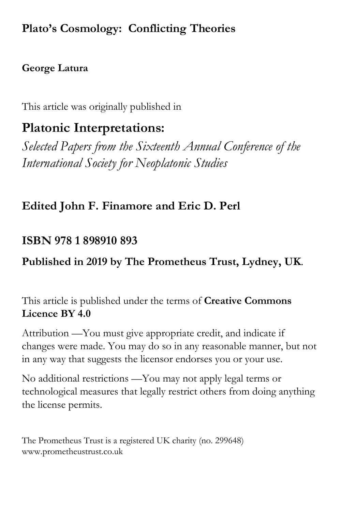# **Plato's Cosmology: Conflicting Theories**

### **George Latura**

This article was originally published in

# **Platonic Interpretations:**

*Selected Papers from the Sixteenth Annual Conference of the International Society for Neoplatonic Studies*

## **Edited John F. Finamore and Eric D. Perl**

## **ISBN 978 1 898910 893**

## **Published in 2019 by The Prometheus Trust, Lydney, UK**.

This article is published under the terms of **Creative Commons Licence BY 4.0**

Attribution —You must give appropriate credit, and indicate if changes were made. You may do so in any reasonable manner, but not in any way that suggests the licensor endorses you or your use.

No additional restrictions —You may not apply legal terms or technological measures that legally restrict others from doing anything the license permits.

The Prometheus Trust is a registered UK charity (no. 299648) www.prometheustrust.co.uk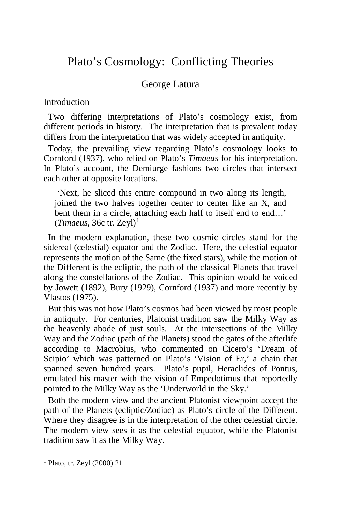## Plato's Cosmology: Conflicting Theories

### George Latura

Introduction

Two differing interpretations of Plato's cosmology exist, from different periods in history. The interpretation that is prevalent today differs from the interpretation that was widely accepted in antiquity.

 Today, the prevailing view regarding Plato's cosmology looks to Cornford (1937), who relied on Plato's *Timaeus* for his interpretation. In Plato's account, the Demiurge fashions two circles that intersect each other at opposite locations.

'Next, he sliced this entire compound in two along its length, joined the two halves together center to center like an X, and bent them in a circle, attaching each half to itself end to end…'  $(Timaeus, 36c$  tr. Zeyl<sup>[1](#page-1-0)</sup>

 In the modern explanation, these two cosmic circles stand for the sidereal (celestial) equator and the Zodiac. Here, the celestial equator represents the motion of the Same (the fixed stars), while the motion of the Different is the ecliptic, the path of the classical Planets that travel along the constellations of the Zodiac. This opinion would be voiced by Jowett (1892), Bury (1929), Cornford (1937) and more recently by Vlastos (1975).

 But this was not how Plato's cosmos had been viewed by most people in antiquity. For centuries, Platonist tradition saw the Milky Way as the heavenly abode of just souls. At the intersections of the Milky Way and the Zodiac (path of the Planets) stood the gates of the afterlife according to Macrobius, who commented on Cicero's 'Dream of Scipio' which was patterned on Plato's 'Vision of Er,' a chain that spanned seven hundred years. Plato's pupil, Heraclides of Pontus, emulated his master with the vision of Empedotimus that reportedly pointed to the Milky Way as the 'Underworld in the Sky.'

 Both the modern view and the ancient Platonist viewpoint accept the path of the Planets (ecliptic/Zodiac) as Plato's circle of the Different. Where they disagree is in the interpretation of the other celestial circle. The modern view sees it as the celestial equator, while the Platonist tradition saw it as the Milky Way.

<span id="page-1-0"></span><sup>1</sup> Plato, tr. Zeyl (2000) 21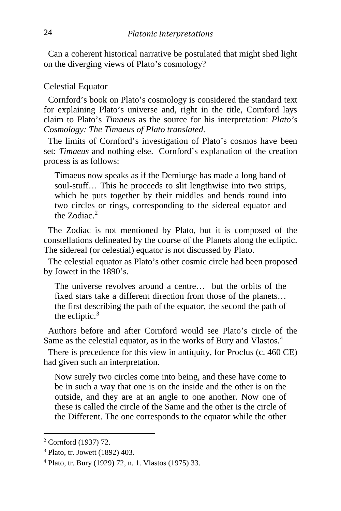Can a coherent historical narrative be postulated that might shed light on the diverging views of Plato's cosmology?

### Celestial Equator

 Cornford's book on Plato's cosmology is considered the standard text for explaining Plato's universe and, right in the title, Cornford lays claim to Plato's *Timaeus* as the source for his interpretation: *Plato's Cosmology: The Timaeus of Plato translated*.

 The limits of Cornford's investigation of Plato's cosmos have been set: *Timaeus* and nothing else. Cornford's explanation of the creation process is as follows:

Timaeus now speaks as if the Demiurge has made a long band of soul-stuff… This he proceeds to slit lengthwise into two strips, which he puts together by their middles and bends round into two circles or rings, corresponding to the sidereal equator and the  $Z$ odiac $^2$  $^2$ 

 The Zodiac is not mentioned by Plato, but it is composed of the constellations delineated by the course of the Planets along the ecliptic. The sidereal (or celestial) equator is not discussed by Plato.

 The celestial equator as Plato's other cosmic circle had been proposed by Jowett in the 1890's.

The universe revolves around a centre… but the orbits of the fixed stars take a different direction from those of the planets… the first describing the path of the equator, the second the path of the ecliptic.<sup>[3](#page-2-1)</sup>

 Authors before and after Cornford would see Plato's circle of the Same as the celestial equator, as in the works of Bury and Vlastos.<sup>[4](#page-2-2)</sup>

 There is precedence for this view in antiquity, for Proclus (c. 460 CE) had given such an interpretation.

Now surely two circles come into being, and these have come to be in such a way that one is on the inside and the other is on the outside, and they are at an angle to one another. Now one of these is called the circle of the Same and the other is the circle of the Different. The one corresponds to the equator while the other

<span id="page-2-0"></span><sup>2</sup> Cornford (1937) 72.

<span id="page-2-1"></span><sup>3</sup> Plato, tr. Jowett (1892) 403.

<span id="page-2-2"></span><sup>4</sup> Plato, tr. Bury (1929) 72, n. 1. Vlastos (1975) 33.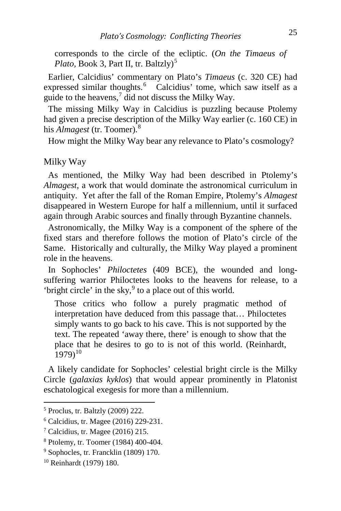corresponds to the circle of the ecliptic. (*On the Timaeus of Plato*, Book 3, Part II, tr. Baltzly)<sup>[5](#page-3-0)</sup>

 Earlier, Calcidius' commentary on Plato's *Timaeus* (c. 320 CE) had expressed similar thoughts.<sup>[6](#page-3-1)</sup> Calcidius' tome, which saw itself as a guide to the heavens, $\frac{7}{1}$  $\frac{7}{1}$  $\frac{7}{1}$  did not discuss the Milky Way.

 The missing Milky Way in Calcidius is puzzling because Ptolemy had given a precise description of the Milky Way earlier (c. 160 CE) in his *Almagest* (tr. Toomer).[8](#page-3-3)

How might the Milky Way bear any relevance to Plato's cosmology?

### Milky Way

 As mentioned, the Milky Way had been described in Ptolemy's *Almagest*, a work that would dominate the astronomical curriculum in antiquity. Yet after the fall of the Roman Empire, Ptolemy's *Almagest*  disappeared in Western Europe for half a millennium, until it surfaced again through Arabic sources and finally through Byzantine channels.

 Astronomically, the Milky Way is a component of the sphere of the fixed stars and therefore follows the motion of Plato's circle of the Same. Historically and culturally, the Milky Way played a prominent role in the heavens.

 In Sophocles' *Philoctetes* (409 BCE), the wounded and longsuffering warrior Philoctetes looks to the heavens for release, to a 'bright circle' in the sky,<sup>[9](#page-3-4)</sup> to a place out of this world.

Those critics who follow a purely pragmatic method of interpretation have deduced from this passage that… Philoctetes simply wants to go back to his cave. This is not supported by the text. The repeated 'away there, there' is enough to show that the place that he desires to go to is not of this world. (Reinhardt,  $1979$ <sup>[10](#page-3-5)</sup>

 A likely candidate for Sophocles' celestial bright circle is the Milky Circle (*galaxias kyklos*) that would appear prominently in Platonist eschatological exegesis for more than a millennium.

<span id="page-3-0"></span><sup>5</sup> Proclus, tr. Baltzly (2009) 222.

<span id="page-3-1"></span><sup>6</sup> Calcidius, tr. Magee (2016) 229-231.

<span id="page-3-2"></span> $7$  Calcidius, tr. Magee (2016) 215.

<span id="page-3-3"></span><sup>8</sup> Ptolemy, tr. Toomer (1984) 400-404.

<span id="page-3-4"></span><sup>9</sup> Sophocles, tr. Francklin (1809) 170.

<span id="page-3-5"></span><sup>10</sup> Reinhardt (1979) 180.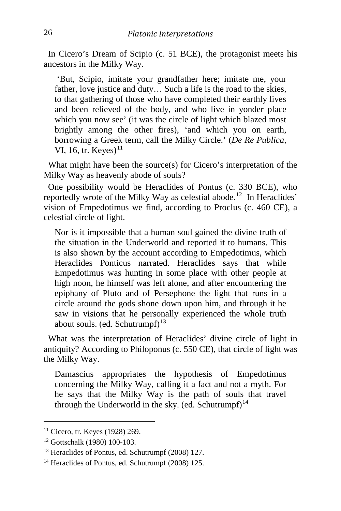In Cicero's Dream of Scipio (c. 51 BCE), the protagonist meets his ancestors in the Milky Way.

'But, Scipio, imitate your grandfather here; imitate me, your father, love justice and duty… Such a life is the road to the skies, to that gathering of those who have completed their earthly lives and been relieved of the body, and who live in yonder place which you now see' (it was the circle of light which blazed most brightly among the other fires), 'and which you on earth, borrowing a Greek term, call the Milky Circle.' (*De Re Publica*, VI, 16, tr. Keyes) $<sup>11</sup>$  $<sup>11</sup>$  $<sup>11</sup>$ </sup>

 What might have been the source(s) for Cicero's interpretation of the Milky Way as heavenly abode of souls?

One possibility would be Heraclides of Pontus (c. 330 BCE), who reportedly wrote of the Milky Way as celestial abode.<sup>12</sup> In Heraclides' vision of Empedotimus we find, according to Proclus (c. 460 CE), a celestial circle of light.

Nor is it impossible that a human soul gained the divine truth of the situation in the Underworld and reported it to humans. This is also shown by the account according to Empedotimus, which Heraclides Ponticus narrated. Heraclides says that while Empedotimus was hunting in some place with other people at high noon, he himself was left alone, and after encountering the epiphany of Pluto and of Persephone the light that runs in a circle around the gods shone down upon him, and through it he saw in visions that he personally experienced the whole truth about souls. (ed. Schutrumpf) $13$ 

 What was the interpretation of Heraclides' divine circle of light in antiquity? According to Philoponus (c. 550 CE), that circle of light was the Milky Way.

Damascius appropriates the hypothesis of Empedotimus concerning the Milky Way, calling it a fact and not a myth. For he says that the Milky Way is the path of souls that travel through the Underworld in the sky. (ed. Schutrumpf)<sup>[14](#page-4-3)</sup>

<span id="page-4-0"></span><sup>11</sup> Cicero, tr. Keyes (1928) 269.

<span id="page-4-1"></span><sup>12</sup> Gottschalk (1980) 100-103.

<span id="page-4-2"></span><sup>13</sup> Heraclides of Pontus, ed. Schutrumpf (2008) 127.

<span id="page-4-3"></span><sup>14</sup> Heraclides of Pontus, ed. Schutrumpf (2008) 125.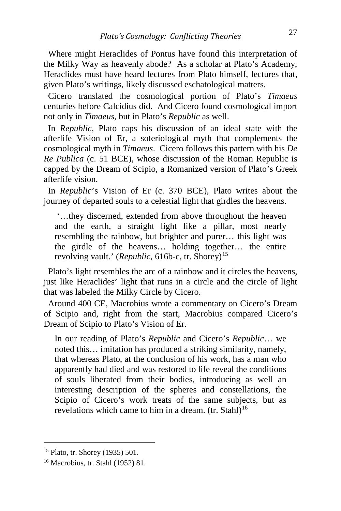Where might Heraclides of Pontus have found this interpretation of the Milky Way as heavenly abode? As a scholar at Plato's Academy, Heraclides must have heard lectures from Plato himself, lectures that, given Plato's writings, likely discussed eschatological matters.

 Cicero translated the cosmological portion of Plato's *Timaeus* centuries before Calcidius did. And Cicero found cosmological import not only in *Timaeus*, but in Plato's *Republic* as well.

 In *Republic*, Plato caps his discussion of an ideal state with the afterlife Vision of Er, a soteriological myth that complements the cosmological myth in *Timaeus*. Cicero follows this pattern with his *De Re Publica* (c. 51 BCE), whose discussion of the Roman Republic is capped by the Dream of Scipio, a Romanized version of Plato's Greek afterlife vision.

 In *Republic*'s Vision of Er (c. 370 BCE), Plato writes about the journey of departed souls to a celestial light that girdles the heavens.

'…they discerned, extended from above throughout the heaven and the earth, a straight light like a pillar, most nearly resembling the rainbow, but brighter and purer… this light was the girdle of the heavens… holding together… the entire revolving vault.' (*Republic*, 616b-c, tr. Shorey)<sup>15</sup>

 Plato's light resembles the arc of a rainbow and it circles the heavens, just like Heraclides' light that runs in a circle and the circle of light that was labeled the Milky Circle by Cicero.

 Around 400 CE, Macrobius wrote a commentary on Cicero's Dream of Scipio and, right from the start, Macrobius compared Cicero's Dream of Scipio to Plato's Vision of Er.

In our reading of Plato's *Republic* and Cicero's *Republic*… we noted this… imitation has produced a striking similarity, namely, that whereas Plato, at the conclusion of his work, has a man who apparently had died and was restored to life reveal the conditions of souls liberated from their bodies, introducing as well an interesting description of the spheres and constellations, the Scipio of Cicero's work treats of the same subjects, but as revelations which came to him in a dream.  $(tr. Stahl)<sup>16</sup>$  $(tr. Stahl)<sup>16</sup>$  $(tr. Stahl)<sup>16</sup>$ 

<span id="page-5-0"></span><sup>15</sup> Plato, tr. Shorey (1935) 501.

<span id="page-5-1"></span><sup>16</sup> Macrobius, tr. Stahl (1952) 81.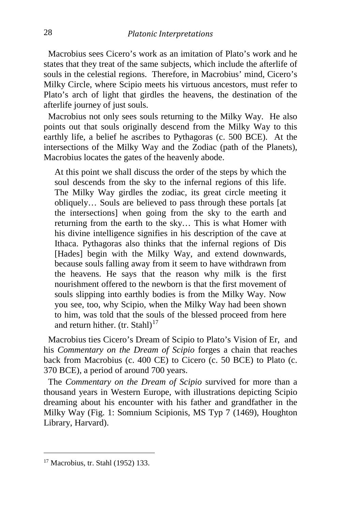Macrobius sees Cicero's work as an imitation of Plato's work and he states that they treat of the same subjects, which include the afterlife of souls in the celestial regions. Therefore, in Macrobius' mind, Cicero's Milky Circle, where Scipio meets his virtuous ancestors, must refer to Plato's arch of light that girdles the heavens, the destination of the afterlife journey of just souls.

 Macrobius not only sees souls returning to the Milky Way. He also points out that souls originally descend from the Milky Way to this earthly life, a belief he ascribes to Pythagoras (c. 500 BCE). At the intersections of the Milky Way and the Zodiac (path of the Planets), Macrobius locates the gates of the heavenly abode.

At this point we shall discuss the order of the steps by which the soul descends from the sky to the infernal regions of this life. The Milky Way girdles the zodiac, its great circle meeting it obliquely… Souls are believed to pass through these portals [at the intersections] when going from the sky to the earth and returning from the earth to the sky… This is what Homer with his divine intelligence signifies in his description of the cave at Ithaca. Pythagoras also thinks that the infernal regions of Dis [Hades] begin with the Milky Way, and extend downwards, because souls falling away from it seem to have withdrawn from the heavens. He says that the reason why milk is the first nourishment offered to the newborn is that the first movement of souls slipping into earthly bodies is from the Milky Way. Now you see, too, why Scipio, when the Milky Way had been shown to him, was told that the souls of the blessed proceed from here and return hither. (tr. Stahl)<sup>[17](#page-6-0)</sup>

 Macrobius ties Cicero's Dream of Scipio to Plato's Vision of Er, and his *Commentary on the Dream of Scipio* forges a chain that reaches back from Macrobius (c. 400 CE) to Cicero (c. 50 BCE) to Plato (c. 370 BCE), a period of around 700 years.

 The *Commentary on the Dream of Scipio* survived for more than a thousand years in Western Europe, with illustrations depicting Scipio dreaming about his encounter with his father and grandfather in the Milky Way (Fig. 1: Somnium Scipionis, MS Typ 7 (1469), Houghton Library, Harvard).

<span id="page-6-0"></span><sup>17</sup> Macrobius, tr. Stahl (1952) 133.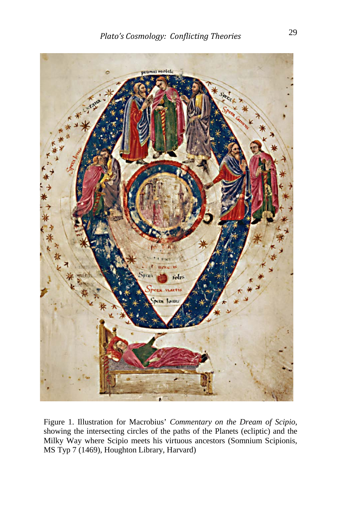

Figure 1. Illustration for Macrobius' *Commentary on the Dream of Scipio*, showing the intersecting circles of the paths of the Planets (ecliptic) and the Milky Way where Scipio meets his virtuous ancestors (Somnium Scipionis, MS Typ 7 (1469), Houghton Library, Harvard)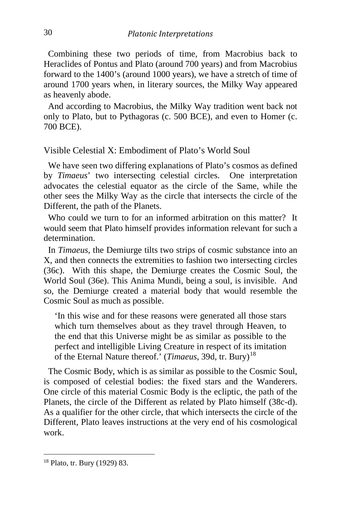Combining these two periods of time, from Macrobius back to Heraclides of Pontus and Plato (around 700 years) and from Macrobius forward to the 1400's (around 1000 years), we have a stretch of time of around 1700 years when, in literary sources, the Milky Way appeared as heavenly abode.

 And according to Macrobius, the Milky Way tradition went back not only to Plato, but to Pythagoras (c. 500 BCE), and even to Homer (c. 700 BCE).

Visible Celestial X: Embodiment of Plato's World Soul

 We have seen two differing explanations of Plato's cosmos as defined by *Timaeus*' two intersecting celestial circles. One interpretation advocates the celestial equator as the circle of the Same, while the other sees the Milky Way as the circle that intersects the circle of the Different, the path of the Planets.

Who could we turn to for an informed arbitration on this matter? It would seem that Plato himself provides information relevant for such a determination.

 In *Timaeus*, the Demiurge tilts two strips of cosmic substance into an X, and then connects the extremities to fashion two intersecting circles (36c). With this shape, the Demiurge creates the Cosmic Soul, the World Soul (36e). This Anima Mundi, being a soul, is invisible. And so, the Demiurge created a material body that would resemble the Cosmic Soul as much as possible.

'In this wise and for these reasons were generated all those stars which turn themselves about as they travel through Heaven, to the end that this Universe might be as similar as possible to the perfect and intelligible Living Creature in respect of its imitation of the Eternal Nature thereof.' (*Timaeus*, 39d, tr. Bury)[18](#page-8-0)

 The Cosmic Body, which is as similar as possible to the Cosmic Soul, is composed of celestial bodies: the fixed stars and the Wanderers. One circle of this material Cosmic Body is the ecliptic, the path of the Planets, the circle of the Different as related by Plato himself (38c-d). As a qualifier for the other circle, that which intersects the circle of the Different, Plato leaves instructions at the very end of his cosmological work.

<span id="page-8-0"></span><sup>18</sup> Plato, tr. Bury (1929) 83.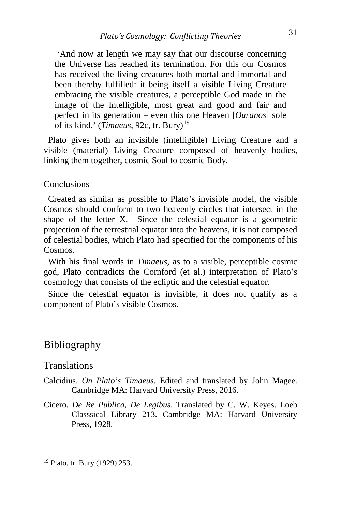'And now at length we may say that our discourse concerning the Universe has reached its termination. For this our Cosmos has received the living creatures both mortal and immortal and been thereby fulfilled: it being itself a visible Living Creature embracing the visible creatures, a perceptible God made in the image of the Intelligible, most great and good and fair and perfect in its generation – even this one Heaven [*Ouranos*] sole of its kind.' (*Timaeus*, 92c, tr. Bury)<sup>[19](#page-9-0)</sup>

 Plato gives both an invisible (intelligible) Living Creature and a visible (material) Living Creature composed of heavenly bodies, linking them together, cosmic Soul to cosmic Body.

#### **Conclusions**

 Created as similar as possible to Plato's invisible model, the visible Cosmos should conform to two heavenly circles that intersect in the shape of the letter X. Since the celestial equator is a geometric projection of the terrestrial equator into the heavens, it is not composed of celestial bodies, which Plato had specified for the components of his Cosmos.

 With his final words in *Timaeus*, as to a visible, perceptible cosmic god, Plato contradicts the Cornford (et al.) interpretation of Plato's cosmology that consists of the ecliptic and the celestial equator.

 Since the celestial equator is invisible, it does not qualify as a component of Plato's visible Cosmos.

### Bibliography

#### **Translations**

- Calcidius. *On Plato's Timaeus*. Edited and translated by John Magee. Cambridge MA: Harvard University Press, 2016.
- Cicero. *De Re Publica, De Legibus*. Translated by C. W. Keyes. Loeb Classsical Library 213. Cambridge MA: Harvard University Press, 1928.

<span id="page-9-0"></span><sup>19</sup> Plato, tr. Bury (1929) 253.